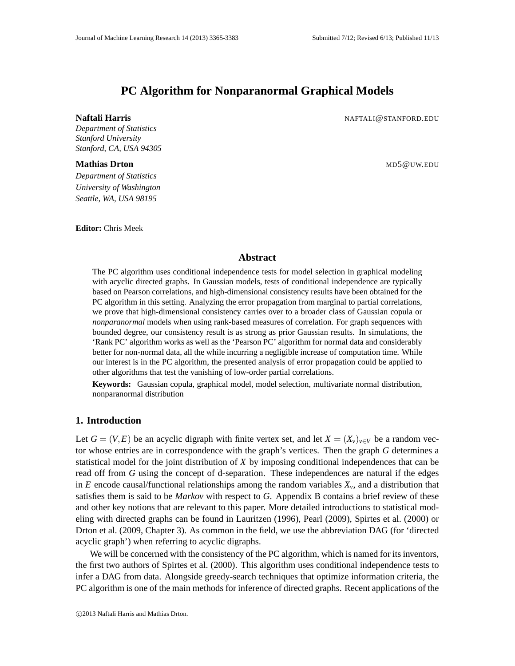# **PC Algorithm for Nonparanormal Graphical Models**

*Department of Statistics Stanford University Stanford, CA, USA 94305*

#### **Mathias Drton** Museum Museum (Museum Museum Museum Museum Museum Museum Museum Museum Museum Museum Museum Museum Museum Museum Museum Museum Museum Museum Museum Museum Museum Museum Museum Museum Museum Museum Museum Mu

*Department of Statistics University of Washington Seattle, WA, USA 98195*

**Editor:** Chris Meek

**Naftali Harris** NAFTALI@STANFORD.EDU

### **Abstract**

The PC algorithm uses conditional independence tests for model selection in graphical modeling with acyclic directed graphs. In Gaussian models, tests of conditional independence are typically based on Pearson correlations, and high-dimensional consistency results have been obtained for the PC algorithm in this setting. Analyzing the error propagation from marginal to partial correlations, we prove that high-dimensional consistency carries over to a broader class of Gaussian copula or *nonparanormal* models when using rank-based measures of correlation. For graph sequences with bounded degree, our consistency result is as strong as prior Gaussian results. In simulations, the 'Rank PC' algorithm works as well as the 'Pearson PC' algorithm for normal data and considerably better for non-normal data, all the while incurring a negligible increase of computation time. While our interest is in the PC algorithm, the presented analysis of error propagation could be applied to other algorithms that test the vanishing of low-order partial correlations.

**Keywords:** Gaussian copula, graphical model, model selection, multivariate normal distribution, nonparanormal distribution

## **1. Introduction**

Let  $G = (V, E)$  be an acyclic digraph with finite vertex set, and let  $X = (X_v)_{v \in V}$  be a random vector whose entries are in correspondence with the graph's vertices. Then the graph *G* determines a statistical model for the joint distribution of *X* by imposing conditional independences that can be read off from *G* using the concept of d-separation. These independences are natural if the edges in *E* encode causal/functional relationships among the random variables  $X_\nu$ , and a distribution that satisfies them is said to be *Markov* with respect to *G*. Appendix B contains a brief review of these and other key notions that are relevant to this paper. More detailed introductions to statistical modeling with directed graphs can be found in Lauritzen (1996), Pearl (2009), Spirtes et al. (2000) or Drton et al. (2009, Chapter 3). As common in the field, we use the abbreviation DAG (for 'directed acyclic graph') when referring to acyclic digraphs.

We will be concerned with the consistency of the PC algorithm, which is named for its inventors, the first two authors of Spirtes et al. (2000). This algorithm uses conditional independence tests to infer a DAG from data. Alongside greedy-search techniques that optimize information criteria, the PC algorithm is one of the main methods for inference of directed graphs. Recent applications of the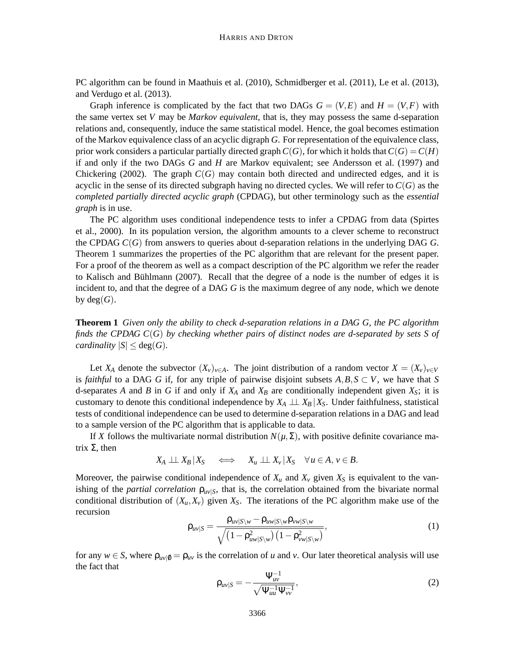PC algorithm can be found in Maathuis et al. (2010), Schmidberger et al. (2011), Le et al. (2013), and Verdugo et al. (2013).

Graph inference is complicated by the fact that two DAGs  $G = (V, E)$  and  $H = (V, F)$  with the same vertex set *V* may be *Markov equivalent*, that is, they may possess the same d-separation relations and, consequently, induce the same statistical model. Hence, the goal becomes estimation of the Markov equivalence class of an acyclic digraph *G*. For representation of the equivalence class, prior work considers a particular partially directed graph  $C(G)$ , for which it holds that  $C(G) = C(H)$ if and only if the two DAGs *G* and *H* are Markov equivalent; see Andersson et al. (1997) and Chickering (2002). The graph  $C(G)$  may contain both directed and undirected edges, and it is acyclic in the sense of its directed subgraph having no directed cycles. We will refer to  $C(G)$  as the *completed partially directed acyclic graph* (CPDAG), but other terminology such as the *essential graph* is in use.

The PC algorithm uses conditional independence tests to infer a CPDAG from data (Spirtes et al., 2000). In its population version, the algorithm amounts to a clever scheme to reconstruct the CPDAG *C*(*G*) from answers to queries about d-separation relations in the underlying DAG *G*. Theorem 1 summarizes the properties of the PC algorithm that are relevant for the present paper. For a proof of the theorem as well as a compact description of the PC algorithm we refer the reader to Kalisch and Bühlmann (2007). Recall that the degree of a node is the number of edges it is incident to, and that the degree of a DAG *G* is the maximum degree of any node, which we denote by  $deg(G)$ .

**Theorem 1** *Given only the ability to check d-separation relations in a DAG G, the PC algorithm finds the CPDAG C*(*G*) *by checking whether pairs of distinct nodes are d-separated by sets S of cardinality*  $|S| \leq deg(G)$ *.* 

Let *X<sub>A</sub>* denote the subvector  $(X_v)_{v \in A}$ . The joint distribution of a random vector  $X = (X_v)_{v \in V}$ is *faithful* to a DAG *G* if, for any triple of pairwise disjoint subsets  $A, B, S \subset V$ , we have that *S* d-separates *A* and *B* in *G* if and only if  $X_A$  and  $X_B$  are conditionally independent given  $X_S$ ; it is customary to denote this conditional independence by  $X_A \perp \perp X_B | X_S$ . Under faithfulness, statistical tests of conditional independence can be used to determine d-separation relations in a DAG and lead to a sample version of the PC algorithm that is applicable to data.

If *X* follows the multivariate normal distribution  $N(\mu, \Sigma)$ , with positive definite covariance matrix  $Σ$ , then

$$
X_A \perp \!\!\! \perp X_B | X_S \quad \Longleftrightarrow \quad X_u \perp \!\!\! \perp X_v | X_S \quad \forall u \in A, v \in B.
$$

Moreover, the pairwise conditional independence of  $X_u$  and  $X_v$  given  $X_s$  is equivalent to the vanishing of the *partial correlation*  $\rho_{uv|S}$ , that is, the correlation obtained from the bivariate normal conditional distribution of  $(X_u, X_v)$  given  $X_s$ . The iterations of the PC algorithm make use of the recursion

$$
\rho_{uv|S} = \frac{\rho_{uv|S\setminus w} - \rho_{uw|S\setminus w} \rho_{vw|S\setminus w}}{\sqrt{\left(1 - \rho_{uw|S\setminus w}^2\right)\left(1 - \rho_{vw|S\setminus w}^2\right)}},\tag{1}
$$

for any  $w \in S$ , where  $\rho_{uv|0} = \rho_{uv}$  is the correlation of *u* and *v*. Our later theoretical analysis will use the fact that

$$
\rho_{uv|S} = -\frac{\Psi_{uv}^{-1}}{\sqrt{\Psi_{uu}^{-1}\Psi_{vv}^{-1}}},\tag{2}
$$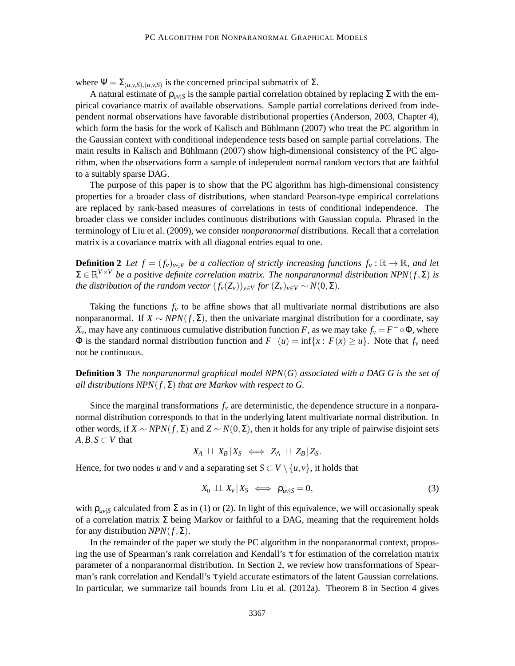where  $\Psi = \sum_{(u,v,S),(u,v,S)}$  is the concerned principal submatrix of  $\Sigma$ .

A natural estimate of  $\rho_{uv|S}$  is the sample partial correlation obtained by replacing  $\Sigma$  with the empirical covariance matrix of available observations. Sample partial correlations derived from independent normal observations have favorable distributional properties (Anderson, 2003, Chapter 4), which form the basis for the work of Kalisch and Bühlmann  $(2007)$  who treat the PC algorithm in the Gaussian context with conditional independence tests based on sample partial correlations. The main results in Kalisch and Bühlmann (2007) show high-dimensional consistency of the PC algorithm, when the observations form a sample of independent normal random vectors that are faithful to a suitably sparse DAG.

The purpose of this paper is to show that the PC algorithm has high-dimensional consistency properties for a broader class of distributions, when standard Pearson-type empirical correlations are replaced by rank-based measures of correlations in tests of conditional independence. The broader class we consider includes continuous distributions with Gaussian copula. Phrased in the terminology of Liu et al. (2009), we consider *nonparanormal* distributions. Recall that a correlation matrix is a covariance matrix with all diagonal entries equal to one.

**Definition 2** *Let*  $f = (f_v)_{v \in V}$  *be a collection of strictly increasing functions*  $f_v : \mathbb{R} \to \mathbb{R}$ *, and let*  $\Sigma \in \mathbb{R}^{V \times V}$  *be a positive definite correlation matrix. The nonparanormal distribution NPN*( $f$ , $\Sigma$ ) *is the distribution of the random vector*  $(f_v(Z_v))_{v \in V}$  *for*  $(Z_v)_{v \in V} \sim N(0, \Sigma)$ *.* 

Taking the functions  $f<sub>v</sub>$  to be affine shows that all multivariate normal distributions are also nonparanormal. If  $X \sim NPN(f, \Sigma)$ , then the univariate marginal distribution for a coordinate, say *X*<sup>*v*</sup>, may have any continuous cumulative distribution function *F*, as we may take  $f_v = F^- \circ \Phi$ , where  $\Phi$  is the standard normal distribution function and  $F^-(u) = \inf\{x : F(x) \ge u\}$ . Note that  $f_v$  need not be continuous.

**Definition 3** *The nonparanormal graphical model NPN*(*G*) *associated with a DAG G is the set of all distributions NPN*(*f*,Σ) *that are Markov with respect to G.*

Since the marginal transformations  $f<sub>v</sub>$  are deterministic, the dependence structure in a nonparanormal distribution corresponds to that in the underlying latent multivariate normal distribution. In other words, if  $X \sim NPN(f, \Sigma)$  and  $Z \sim N(0, \Sigma)$ , then it holds for any triple of pairwise disjoint sets  $A, B, S \subset V$  that

$$
X_A \perp \!\!\! \perp X_B \, | X_S \iff Z_A \perp \!\!\! \perp Z_B \, | Z_S.
$$

Hence, for two nodes *u* and *v* and a separating set  $S \subset V \setminus \{u, v\}$ , it holds that

$$
X_u \perp \!\!\! \perp X_v \mid X_S \iff \rho_{uv|S} = 0,
$$
\n<sup>(3)</sup>

with  $\rho_{uv|S}$  calculated from  $\Sigma$  as in (1) or (2). In light of this equivalence, we will occasionally speak of a correlation matrix  $\Sigma$  being Markov or faithful to a DAG, meaning that the requirement holds for any distribution  $NPN(f, \Sigma)$ .

In the remainder of the paper we study the PC algorithm in the nonparanormal context, proposing the use of Spearman's rank correlation and Kendall's τ for estimation of the correlation matrix parameter of a nonparanormal distribution. In Section 2, we review how transformations of Spearman's rank correlation and Kendall's τ yield accurate estimators of the latent Gaussian correlations. In particular, we summarize tail bounds from Liu et al. (2012a). Theorem 8 in Section 4 gives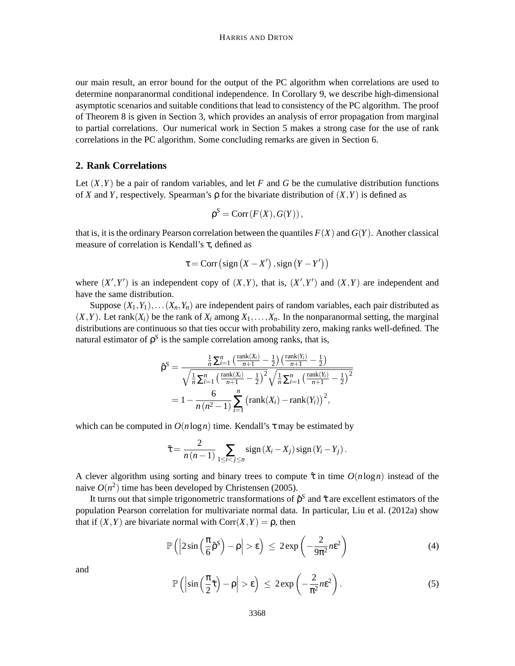our main result, an error bound for the output of the PC algorithm when correlations are used to determine nonparanormal conditional independence. In Corollary 9, we describe high-dimensional asymptotic scenarios and suitable conditions that lead to consistency of the PC algorithm. The proof of Theorem 8 is given in Section 3, which provides an analysis of error propagation from marginal to partial correlations. Our numerical work in Section 5 makes a strong case for the use of rank correlations in the PC algorithm. Some concluding remarks are given in Section 6.

## **2. Rank Correlations**

Let  $(X, Y)$  be a pair of random variables, and let *F* and *G* be the cumulative distribution functions of *X* and *Y*, respectively. Spearman's  $\rho$  for the bivariate distribution of  $(X, Y)$  is defined as

$$
\rho^S = \text{Corr}(F(X), G(Y)),
$$

that is, it is the ordinary Pearson correlation between the quantiles  $F(X)$  and  $G(Y)$ . Another classical measure of correlation is Kendall's τ, defined as

$$
\tau = \text{Corr}\left(\text{sign}\left(X - X'\right), \text{sign}\left(Y - Y'\right)\right)
$$

where  $(X', Y')$  is an independent copy of  $(X, Y)$ , that is,  $(X', Y')$  and  $(X, Y)$  are independent and have the same distribution.

Suppose  $(X_1, Y_1), \ldots, (X_n, Y_n)$  are independent pairs of random variables, each pair distributed as  $(X, Y)$ . Let rank $(X_i)$  be the rank of  $X_i$  among  $X_1, \ldots, X_n$ . In the nonparanormal setting, the marginal distributions are continuous so that ties occur with probability zero, making ranks well-defined. The natural estimator of  $ρ^S$  is the sample correlation among ranks, that is,

$$
\hat{\rho}^{S} = \frac{\frac{1}{n} \sum_{i=1}^{n} \left( \frac{\text{rank}(X_{i})}{n+1} - \frac{1}{2} \right) \left( \frac{\text{rank}(Y_{i})}{n+1} - \frac{1}{2} \right)}{\sqrt{\frac{1}{n} \sum_{i=1}^{n} \left( \frac{\text{rank}(X_{i})}{n+1} - \frac{1}{2} \right)^{2}} \sqrt{\frac{1}{n} \sum_{i=1}^{n} \left( \frac{\text{rank}(Y_{i})}{n+1} - \frac{1}{2} \right)^{2}}}
$$
  
=  $1 - \frac{6}{n(n^{2} - 1)} \sum_{i=1}^{n} \left( \text{rank}(X_{i}) - \text{rank}(Y_{i}) \right)^{2},$ 

which can be computed in  $O(n \log n)$  time. Kendall's  $\tau$  may be estimated by

$$
\hat{\tau} = \frac{2}{n(n-1)} \sum_{1 \leq i < j \leq n} sign(X_i - X_j) sign(Y_i - Y_j).
$$

A clever algorithm using sorting and binary trees to compute  $\hat{\tau}$  in time  $O(n \log n)$  instead of the naive  $O(n^2)$  time has been developed by Christensen (2005).

It turns out that simple trigonometric transformations of  $\hat{\rho}^S$  and  $\hat{\tau}$  are excellent estimators of the population Pearson correlation for multivariate normal data. In particular, Liu et al. (2012a) show that if  $(X, Y)$  are bivariate normal with  $Corr(X, Y) = \rho$ , then

$$
\mathbb{P}\left(\left|2\sin\left(\frac{\pi}{6}\hat{\rho}^S\right)-\rho\right|>\epsilon\right)\,\leq\,2\exp\left(-\frac{2}{9\pi^2}n\epsilon^2\right)\tag{4}
$$

and

$$
\mathbb{P}\left(\left|\sin\left(\frac{\pi}{2}\hat{\tau}\right)-\rho\right|>\epsilon\right) \leq 2\exp\left(-\frac{2}{\pi^2}n\epsilon^2\right).
$$
 (5)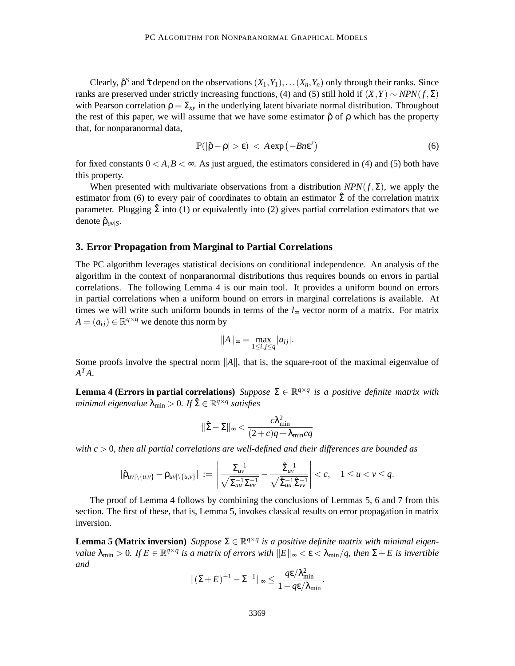Clearly,  $\hat{\rho}^S$  and  $\hat{\tau}$  depend on the observations  $(X_1, Y_1), \ldots (X_n, Y_n)$  only through their ranks. Since ranks are preserved under strictly increasing functions, (4) and (5) still hold if  $(X, Y) \sim NPN(f, \Sigma)$ with Pearson correlation  $\rho = \Sigma_{xy}$  in the underlying latent bivariate normal distribution. Throughout the rest of this paper, we will assume that we have some estimator  $\hat{\rho}$  of  $\rho$  which has the property that, for nonparanormal data,

$$
\mathbb{P}(|\hat{\rho} - \rho| > \varepsilon) < A \exp(-Bn\varepsilon^2)
$$
 (6)

for fixed constants  $0 < A, B < \infty$ . As just argued, the estimators considered in (4) and (5) both have this property.

When presented with multivariate observations from a distribution  $NPN(f,\Sigma)$ , we apply the estimator from (6) to every pair of coordinates to obtain an estimator  $\hat{\Sigma}$  of the correlation matrix parameter. Plugging  $\hat{\Sigma}$  into (1) or equivalently into (2) gives partial correlation estimators that we denote  $ρ<sub>uv|S</sub>$ .

#### **3. Error Propagation from Marginal to Partial Correlations**

The PC algorithm leverages statistical decisions on conditional independence. An analysis of the algorithm in the context of nonparanormal distributions thus requires bounds on errors in partial correlations. The following Lemma 4 is our main tool. It provides a uniform bound on errors in partial correlations when a uniform bound on errors in marginal correlations is available. At times we will write such uniform bounds in terms of the *l*<sup>∞</sup> vector norm of a matrix. For matrix  $A = (a_{ij}) \in \mathbb{R}^{q \times q}$  we denote this norm by

$$
||A||_{\infty} = \max_{1 \leq i,j \leq q} |a_{ij}|.
$$

Some proofs involve the spectral norm  $||A||$ , that is, the square-root of the maximal eigenvalue of  $A^T A$ .

**Lemma 4 (Errors in partial correlations)** *Suppose*  $\Sigma \in \mathbb{R}^{q \times q}$  *is a positive definite matrix with minimal eigenvalue*  $\lambda_{\min} > 0$ . If  $\hat{\Sigma} \in \mathbb{R}^{q \times q}$  satisfies

$$
\|\hat{\Sigma} - \Sigma\|_{\infty} < \frac{c\lambda_{\min}^2}{(2+c)q + \lambda_{\min}cq}
$$

*with c* > 0*, then all partial correlations are well-defined and their differences are bounded as*

$$
|\hat{\rho}_{uv|\setminus\{u,v\}} - \rho_{uv|\setminus\{u,v\}}| := \left|\frac{\Sigma_{uv}^{-1}}{\sqrt{\Sigma_{uu}^{-1}\Sigma_{vv}^{-1}}} - \frac{\hat{\Sigma}_{uv}^{-1}}{\sqrt{\hat{\Sigma}_{uu}^{-1}\hat{\Sigma}_{vv}^{-1}}}\right| < c, \quad 1 \le u < v \le q.
$$

The proof of Lemma 4 follows by combining the conclusions of Lemmas 5, 6 and 7 from this section. The first of these, that is, Lemma 5, invokes classical results on error propagation in matrix inversion.

**Lemma 5 (Matrix inversion)** *Suppose*  $\Sigma \in \mathbb{R}^{q \times q}$  *is a positive definite matrix with minimal eigenvalue*  $\lambda_{\min} > 0$ . If  $E \in \mathbb{R}^{q \times q}$  is a matrix of errors with  $||E||_{\infty} < \varepsilon < \lambda_{\min}/q$ , then  $\Sigma + E$  is invertible *and*

$$
\|(\Sigma + E)^{-1} - \Sigma^{-1}\|_{\infty} \le \frac{q \varepsilon / \lambda_{\min}^2}{1 - q \varepsilon / \lambda_{\min}}.
$$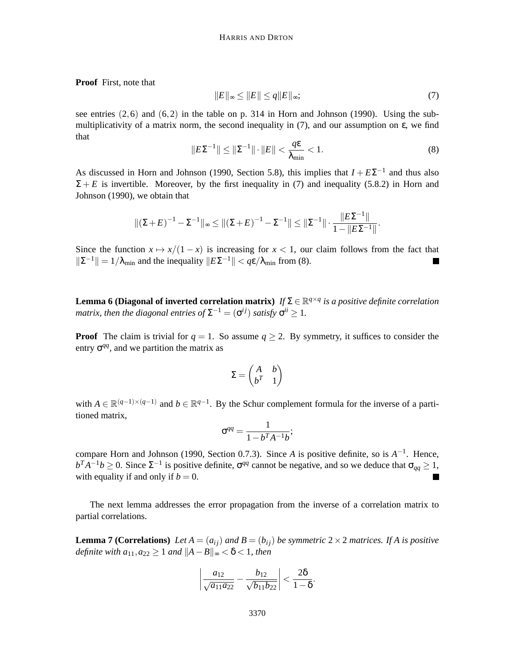**Proof** First, note that

$$
||E||_{\infty} \le ||E|| \le q||E||_{\infty};\tag{7}
$$

see entries  $(2,6)$  and  $(6,2)$  in the table on p. 314 in Horn and Johnson (1990). Using the submultiplicativity of a matrix norm, the second inequality in  $(7)$ , and our assumption on  $\varepsilon$ , we find that

$$
||E\Sigma^{-1}|| \le ||\Sigma^{-1}|| \cdot ||E|| < \frac{q\varepsilon}{\lambda_{\min}} < 1.
$$
 (8)

As discussed in Horn and Johnson (1990, Section 5.8), this implies that  $I + E\Sigma^{-1}$  and thus also  $\Sigma + E$  is invertible. Moreover, by the first inequality in (7) and inequality (5.8.2) in Horn and Johnson (1990), we obtain that

$$
\|(\Sigma + E)^{-1} - \Sigma^{-1}\|_{\infty} \le \|(\Sigma + E)^{-1} - \Sigma^{-1}\| \le \|\Sigma^{-1}\| \cdot \frac{\|E\Sigma^{-1}\|}{1 - \|E\Sigma^{-1}\|}.
$$

Since the function  $x \mapsto x/(1-x)$  is increasing for  $x < 1$ , our claim follows from the fact that  $||\Sigma^{-1}|| = 1/\lambda_{\min}$  and the inequality  $||E\Sigma^{-1}|| < q\epsilon/\lambda_{\min}$  from (8). ш

**Lemma 6 (Diagonal of inverted correlation matrix)**  $If \Sigma \in \mathbb{R}^{q \times q}$  is a positive definite correlation *matrix, then the diagonal entries of*  $\Sigma^{-1} = (\sigma^{ij})$  *satisfy*  $\sigma^{ii} \geq 1$ *.* 

**Proof** The claim is trivial for  $q = 1$ . So assume  $q \ge 2$ . By symmetry, it suffices to consider the entry  $\sigma^{qq}$ , and we partition the matrix as

$$
\Sigma = \begin{pmatrix} A & b \\ b^T & 1 \end{pmatrix}
$$

with  $A \in \mathbb{R}^{(q-1)\times(q-1)}$  and  $b \in \mathbb{R}^{q-1}$ . By the Schur complement formula for the inverse of a partitioned matrix,

$$
\sigma^{qq} = \frac{1}{1 - b^T A^{-1} b};
$$

compare Horn and Johnson (1990, Section 0.7.3). Since *A* is positive definite, so is *A* −1 . Hence,  $b^T A^{-1} b \ge 0$ . Since  $\Sigma^{-1}$  is positive definite,  $\sigma^{qq}$  cannot be negative, and so we deduce that  $\sigma_{qq} \ge 1$ , with equality if and only if  $b = 0$ . ш

The next lemma addresses the error propagation from the inverse of a correlation matrix to partial correlations.

**Lemma 7 (Correlations)** *Let*  $A = (a_{ij})$  *and*  $B = (b_{ij})$  *be symmetric* 2 × 2 *matrices. If* A *is positive definite with*  $a_{11}, a_{22} \geq 1$  *and*  $||A - B||_{\infty} < \delta < 1$ *, then* 

$$
\left|\frac{a_{12}}{\sqrt{a_{11}a_{22}}} - \frac{b_{12}}{\sqrt{b_{11}b_{22}}}\right| < \frac{2\delta}{1-\delta}.
$$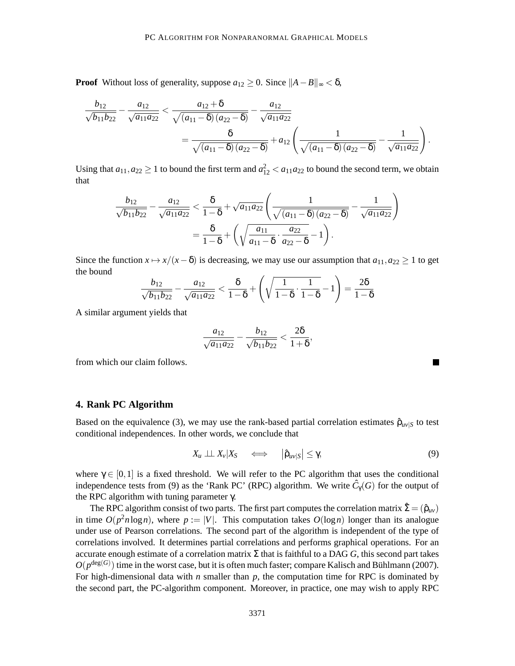**Proof** Without loss of generality, suppose  $a_{12} \geq 0$ . Since  $||A - B||_{\infty} < \delta$ ,

$$
\frac{b_{12}}{\sqrt{b_{11}b_{22}}} - \frac{a_{12}}{\sqrt{a_{11}a_{22}}} < \frac{a_{12} + \delta}{\sqrt{(a_{11} - \delta)(a_{22} - \delta)}} - \frac{a_{12}}{\sqrt{a_{11}a_{22}}} = \frac{\delta}{\sqrt{(a_{11} - \delta)(a_{22} - \delta)}} + a_{12} \left(\frac{1}{\sqrt{(a_{11} - \delta)(a_{22} - \delta)}} - \frac{1}{\sqrt{a_{11}a_{22}}}\right).
$$

Using that  $a_{11}, a_{22} \ge 1$  to bound the first term and  $a_{12}^2 < a_{11}a_{22}$  to bound the second term, we obtain that

$$
\frac{b_{12}}{\sqrt{b_{11}b_{22}}} - \frac{a_{12}}{\sqrt{a_{11}a_{22}}} < \frac{\delta}{1-\delta} + \sqrt{a_{11}a_{22}} \left( \frac{1}{\sqrt{(a_{11}-\delta)(a_{22}-\delta)}} - \frac{1}{\sqrt{a_{11}a_{22}}} \right)
$$

$$
= \frac{\delta}{1-\delta} + \left( \sqrt{\frac{a_{11}}{a_{11}-\delta} \cdot \frac{a_{22}}{a_{22}-\delta}} - 1 \right).
$$

Since the function  $x \mapsto x/(x - \delta)$  is decreasing, we may use our assumption that  $a_{11}, a_{22} \ge 1$  to get the bound

$$
\frac{b_{12}}{\sqrt{b_{11}b_{22}}} - \frac{a_{12}}{\sqrt{a_{11}a_{22}}} < \frac{\delta}{1-\delta} + \left(\sqrt{\frac{1}{1-\delta} \cdot \frac{1}{1-\delta}} - 1\right) = \frac{2\delta}{1-\delta}
$$

A similar argument yields that

$$
\frac{a_{12}}{\sqrt{a_{11}a_{22}}} - \frac{b_{12}}{\sqrt{b_{11}b_{22}}} < \frac{2\delta}{1+\delta},
$$

from which our claim follows.

### **4. Rank PC Algorithm**

Based on the equivalence (3), we may use the rank-based partial correlation estimates  $\hat{\rho}_{uv|S}$  to test conditional independences. In other words, we conclude that

$$
X_u \perp \!\!\!\perp X_v | X_S \quad \Longleftrightarrow \quad |\hat{\rho}_{uv|S}| \leq \gamma,
$$
\n<sup>(9)</sup>

where  $\gamma \in [0,1]$  is a fixed threshold. We will refer to the PC algorithm that uses the conditional independence tests from (9) as the 'Rank PC' (RPC) algorithm. We write  $\hat{C}_{\gamma}(G)$  for the output of the RPC algorithm with tuning parameter γ.

The RPC algorithm consist of two parts. The first part computes the correlation matrix  $\hat{\Sigma} = (\hat{\rho}_{uv})$ in time  $O(p^2n \log n)$ , where  $p := |V|$ . This computation takes  $O(\log n)$  longer than its analogue under use of Pearson correlations. The second part of the algorithm is independent of the type of correlations involved. It determines partial correlations and performs graphical operations. For an accurate enough estimate of a correlation matrix  $\Sigma$  that is faithful to a DAG G, this second part takes  $O(p^{\deg(G)})$  time in the worst case, but it is often much faster; compare Kalisch and Bühlmann (2007). For high-dimensional data with  $n$  smaller than  $p$ , the computation time for RPC is dominated by the second part, the PC-algorithm component. Moreover, in practice, one may wish to apply RPC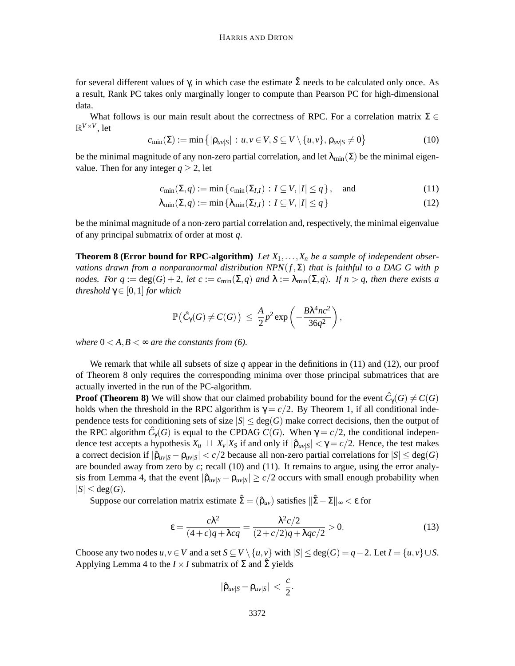for several different values of γ, in which case the estimate  $\hat{\Sigma}$  needs to be calculated only once. As a result, Rank PC takes only marginally longer to compute than Pearson PC for high-dimensional data.

What follows is our main result about the correctness of RPC. For a correlation matrix  $\Sigma \in \mathbb{C}$  $\mathbb{R}^{V \times V}$ , let

$$
c_{\min}(\Sigma) := \min\left\{ |\rho_{uv|S}| : u, v \in V, S \subseteq V \setminus \{u, v\}, \rho_{uv|S} \neq 0 \right\}
$$
(10)

be the minimal magnitude of any non-zero partial correlation, and let  $\lambda_{\min}(\Sigma)$  be the minimal eigenvalue. Then for any integer  $q \geq 2$ , let

$$
c_{\min}(\Sigma, q) := \min\left\{c_{\min}(\Sigma_{I,I}) : I \subseteq V, |I| \le q\right\}, \quad \text{and} \tag{11}
$$

$$
\lambda_{\min}(\Sigma, q) := \min \{ \lambda_{\min}(\Sigma_{I,I}) : I \subseteq V, |I| \le q \}
$$
\n(12)

be the minimal magnitude of a non-zero partial correlation and, respectively, the minimal eigenvalue of any principal submatrix of order at most *q*.

**Theorem 8 (Error bound for RPC-algorithm)** Let  $X_1, \ldots, X_n$  be a sample of independent obser*vations drawn from a nonparanormal distribution NPN*(*f*,Σ) *that is faithful to a DAG G with p nodes. For q* :=  $deg(G) + 2$ *, let c* :=  $c_{min}(\Sigma, q)$  *and*  $\lambda := \lambda_{min}(\Sigma, q)$ *. If n* > *q, then there exists a threshold*  $\gamma \in [0,1]$  *for which* 

$$
\mathbb{P}(\hat{C}_\gamma(G) \neq C(G)) \leq \frac{A}{2} p^2 \exp \left(-\frac{B\lambda^4 n c^2}{36q^2}\right),
$$

*where*  $0 < A, B < \infty$  *are the constants from (6).* 

We remark that while all subsets of size *q* appear in the definitions in (11) and (12), our proof of Theorem 8 only requires the corresponding minima over those principal submatrices that are actually inverted in the run of the PC-algorithm.

**Proof (Theorem 8)** We will show that our claimed probability bound for the event  $\hat{C}_\gamma(G) \neq C(G)$ holds when the threshold in the RPC algorithm is  $\gamma = c/2$ . By Theorem 1, if all conditional independence tests for conditioning sets of size  $|S| \leq deg(G)$  make correct decisions, then the output of the RPC algorithm  $\hat{C}_{\gamma}(G)$  is equal to the CPDAG  $C(G)$ . When  $\gamma = c/2$ , the conditional independence test accepts a hypothesis  $X_u \perp \perp X_v | X_S$  if and only if  $|\hat{\rho}_{uv|S}| < \gamma = c/2$ . Hence, the test makes a correct decision if  $|\hat{\rho}_{uv|S} - \rho_{uv|S}| < c/2$  because all non-zero partial correlations for  $|S| \le \deg(G)$ are bounded away from zero by *c*; recall (10) and (11). It remains to argue, using the error analysis from Lemma 4, that the event  $|\hat{\rho}_{uv|S} - \rho_{uv|S}| \ge c/2$  occurs with small enough probability when  $|S| \leq deg(G).$ 

Suppose our correlation matrix estimate  $\hat{\Sigma} = (\hat{\rho}_{uv})$  satisfies  $\|\hat{\Sigma} - \Sigma\|_{\infty} < \varepsilon$  for

$$
\varepsilon = \frac{c\lambda^2}{(4+c)q + \lambda cq} = \frac{\lambda^2 c/2}{(2+c/2)q + \lambda qc/2} > 0.
$$
\n(13)

Choose any two nodes  $u, v \in V$  and a set  $S \subseteq V \setminus \{u, v\}$  with  $|S| \leq deg(G) = q - 2$ . Let  $I = \{u, v\} \cup S$ . Applying Lemma 4 to the  $I \times I$  submatrix of  $\Sigma$  and  $\hat{\Sigma}$  yields

$$
|\hat{\rho}_{uv|S}-\rho_{uv|S}|~<~\frac{c}{2}.
$$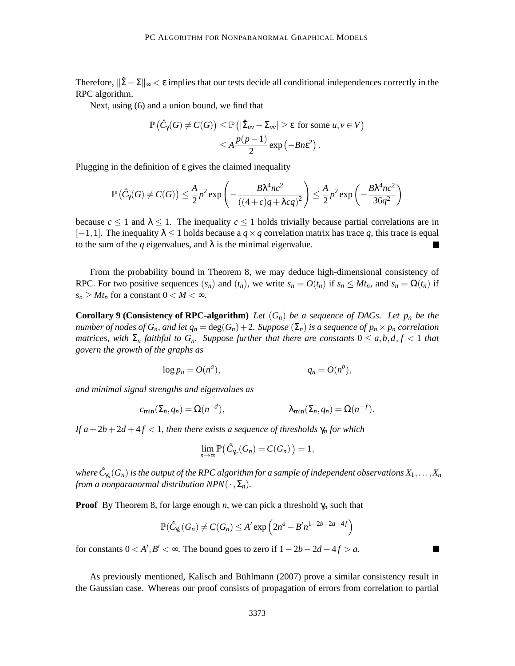Therefore,  $\|\hat{\Sigma} - \Sigma\|_{\infty} < \varepsilon$  implies that our tests decide all conditional independences correctly in the RPC algorithm.

Next, using (6) and a union bound, we find that

$$
\mathbb{P}\left(\hat{C}_{\gamma}(G) \neq C(G)\right) \leq \mathbb{P}\left(|\hat{\Sigma}_{uv} - \Sigma_{uv}|\geq \varepsilon \text{ for some } u, v \in V\right) \leq A \frac{p(p-1)}{2} \exp\left(-Bn\varepsilon^{2}\right).
$$

Plugging in the definition of ε gives the claimed inequality

$$
\mathbb{P}\left(\hat{C}_{\gamma}(G) \neq C(G)\right) \leq \frac{A}{2}p^2 \exp\left(-\frac{B\lambda^4 n c^2}{\left((4+c)q + \lambda c q\right)^2}\right) \leq \frac{A}{2}p^2 \exp\left(-\frac{B\lambda^4 n c^2}{36q^2}\right)
$$

because  $c \le 1$  and  $\lambda \le 1$ . The inequality  $c \le 1$  holds trivially because partial correlations are in  $[-1,1]$ . The inequality  $\lambda \leq 1$  holds because a  $q \times q$  correlation matrix has trace *q*, this trace is equal to the sum of the  $q$  eigenvalues, and  $\lambda$  is the minimal eigenvalue.

From the probability bound in Theorem 8, we may deduce high-dimensional consistency of RPC. For two positive sequences  $(s_n)$  and  $(t_n)$ , we write  $s_n = O(t_n)$  if  $s_n \leq Mt_n$ , and  $s_n = \Omega(t_n)$  if  $s_n \geq Mt_n$  for a constant  $0 < M < \infty$ .

**Corollary 9 (Consistency of RPC-algorithm)** Let  $(G_n)$  be a sequence of DAGs. Let  $p_n$  be the *number of nodes of*  $G_n$ *, and let*  $q_n = deg(G_n) + 2$ *. Suppose*  $(\Sigma_n)$  *is a sequence of*  $p_n \times p_n$  *correlation matrices, with*  $\Sigma_n$  *faithful to*  $G_n$ *. Suppose further that there are constants*  $0 \le a, b, d, f \le 1$  *that govern the growth of the graphs as*

$$
\log p_n = O(n^a), \qquad q_n = O(n^b),
$$

*and minimal signal strengths and eigenvalues as*

$$
c_{\min}(\Sigma_n, q_n) = \Omega(n^{-d}), \qquad \lambda_{\min}(\Sigma_n, q_n) = \Omega(n^{-f}).
$$

*If*  $a + 2b + 2d + 4f < 1$ , then there exists a sequence of thresholds  $\gamma_n$  for which

$$
\lim_{n\to\infty}\mathbb{P}\big(\hat{C}_{\gamma_n}(G_n)=C(G_n)\big)=1,
$$

where  $\hat{C}_{\gamma_n}(G_n)$  is the output of the RPC algorithm for a sample of independent observations  $X_1,\ldots,X_n$ *from a nonparanormal distribution NPN* $(\cdot, \Sigma_n)$ *.* 

**Proof** By Theorem 8, for large enough *n*, we can pick a threshold  $\gamma_n$  such that

$$
\mathbb{P}(\hat{C}_{\gamma_n}(G_n) \neq C(G_n) \leq A' \exp\left(2n^a - B'n^{1-2b-2d-4f}\right)
$$

 $\overline{\phantom{a}}$ 

for constants  $0 < A', B' < \infty$ . The bound goes to zero if  $1 - 2b - 2d - 4f > a$ .

As previously mentioned, Kalisch and Bühlmann (2007) prove a similar consistency result in the Gaussian case. Whereas our proof consists of propagation of errors from correlation to partial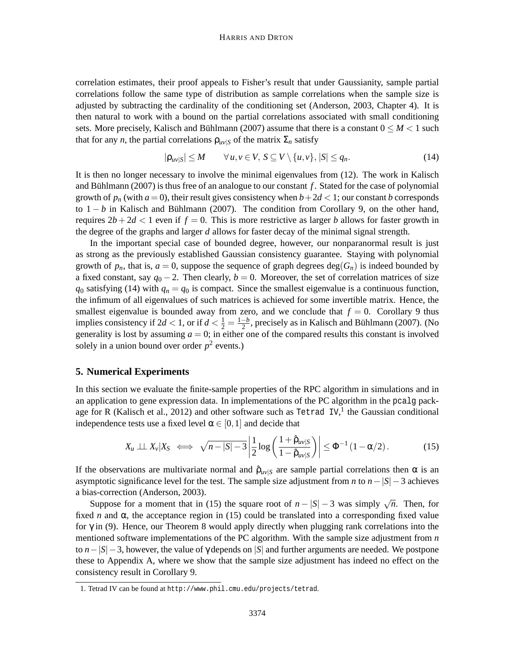correlation estimates, their proof appeals to Fisher's result that under Gaussianity, sample partial correlations follow the same type of distribution as sample correlations when the sample size is adjusted by subtracting the cardinality of the conditioning set (Anderson, 2003, Chapter 4). It is then natural to work with a bound on the partial correlations associated with small conditioning sets. More precisely, Kalisch and Bühlmann (2007) assume that there is a constant  $0 \leq M < 1$  such that for any *n*, the partial correlations  $\rho_{uv|S}$  of the matrix  $\Sigma_n$  satisfy

$$
|\rho_{uv|S}| \le M \qquad \forall u, v \in V, S \subseteq V \setminus \{u, v\}, |S| \le q_n. \tag{14}
$$

It is then no longer necessary to involve the minimal eigenvalues from (12). The work in Kalisch and Bühlmann (2007) is thus free of an analogue to our constant  $f$ . Stated for the case of polynomial growth of  $p_n$  (with  $a = 0$ ), their result gives consistency when  $b + 2d < 1$ ; our constant *b* corresponds to  $1 - b$  in Kalisch and Bühlmann (2007). The condition from Corollary 9, on the other hand, requires  $2b+2d < 1$  even if  $f = 0$ . This is more restrictive as larger *b* allows for faster growth in the degree of the graphs and larger *d* allows for faster decay of the minimal signal strength.

In the important special case of bounded degree, however, our nonparanormal result is just as strong as the previously established Gaussian consistency guarantee. Staying with polynomial growth of  $p_n$ , that is,  $a = 0$ , suppose the sequence of graph degrees deg( $G_n$ ) is indeed bounded by a fixed constant, say  $q_0 - 2$ . Then clearly,  $b = 0$ . Moreover, the set of correlation matrices of size  $q_0$  satisfying (14) with  $q_n = q_0$  is compact. Since the smallest eigenvalue is a continuous function, the infimum of all eigenvalues of such matrices is achieved for some invertible matrix. Hence, the smallest eigenvalue is bounded away from zero, and we conclude that  $f = 0$ . Corollary 9 thus implies consistency if  $2d < 1$ , or if  $d < \frac{1}{2} = \frac{1-b}{2}$ , precisely as in Kalisch and Bühlmann (2007). (No generality is lost by assuming  $a = 0$ ; in either one of the compared results this constant is involved solely in a union bound over order  $p^2$  events.)

### **5. Numerical Experiments**

In this section we evaluate the finite-sample properties of the RPC algorithm in simulations and in an application to gene expression data. In implementations of the PC algorithm in the pcalg package for R (Kalisch et al., 2012) and other software such as Tetrad IV,<sup>1</sup> the Gaussian conditional independence tests use a fixed level  $\alpha \in [0,1]$  and decide that

$$
X_u \perp \!\!\! \perp X_v | X_S \iff \sqrt{n-|S|-3} \left| \frac{1}{2} \log \left( \frac{1+\hat{\rho}_{uv|S}}{1-\hat{\rho}_{uv|S}} \right) \right| \leq \Phi^{-1} \left( 1-\alpha/2 \right). \tag{15}
$$

If the observations are multivariate normal and  $\hat{\rho}_{uv|S}$  are sample partial correlations then  $\alpha$  is an asymptotic significance level for the test. The sample size adjustment from *n* to *n*−|*S*|−3 achieves a bias-correction (Anderson, 2003).

Suppose for a moment that in (15) the square root of  $n - |S| - 3$  was simply  $\sqrt{n}$ . Then, for fixed *n* and  $\alpha$ , the acceptance region in (15) could be translated into a corresponding fixed value for  $\gamma$  in (9). Hence, our Theorem 8 would apply directly when plugging rank correlations into the mentioned software implementations of the PC algorithm. With the sample size adjustment from *n* to *n*−|*S*|−3, however, the value of γ depends on |*S*| and further arguments are needed. We postpone these to Appendix A, where we show that the sample size adjustment has indeed no effect on the consistency result in Corollary 9.

<sup>1.</sup> Tetrad IV can be found at http://www.phil.cmu.edu/projects/tetrad.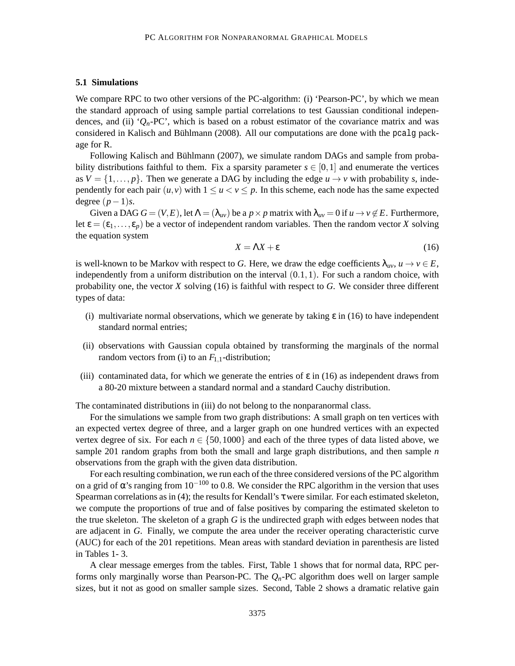#### **5.1 Simulations**

We compare RPC to two other versions of the PC-algorithm: (i) 'Pearson-PC', by which we mean the standard approach of using sample partial correlations to test Gaussian conditional independences, and (ii)  $^{\prime}Q_n$ -PC', which is based on a robust estimator of the covariance matrix and was considered in Kalisch and Bühlmann (2008). All our computations are done with the pcalg package for R.

Following Kalisch and Bühlmann (2007), we simulate random DAGs and sample from probability distributions faithful to them. Fix a sparsity parameter  $s \in [0,1]$  and enumerate the vertices as  $V = \{1, \ldots, p\}$ . Then we generate a DAG by including the edge  $u \rightarrow v$  with probability *s*, independently for each pair  $(u, v)$  with  $1 \le u < v \le p$ . In this scheme, each node has the same expected degree  $(p-1)s$ .

Given a DAG  $G = (V, E)$ , let  $\Lambda = (\lambda_{uv})$  be a  $p \times p$  matrix with  $\lambda_{uv} = 0$  if  $u \to v \notin E$ . Furthermore, let  $\varepsilon = (\varepsilon_1, \ldots, \varepsilon_n)$  be a vector of independent random variables. Then the random vector *X* solving the equation system

$$
X = \Lambda X + \varepsilon \tag{16}
$$

is well-known to be Markov with respect to *G*. Here, we draw the edge coefficients  $\lambda_{uv}$ ,  $u \to v \in E$ , independently from a uniform distribution on the interval  $(0.1,1)$ . For such a random choice, with probability one, the vector *X* solving (16) is faithful with respect to *G*. We consider three different types of data:

- (i) multivariate normal observations, which we generate by taking  $\varepsilon$  in (16) to have independent standard normal entries;
- (ii) observations with Gaussian copula obtained by transforming the marginals of the normal random vectors from (i) to an  $F_{1,1}$ -distribution;
- (iii) contaminated data, for which we generate the entries of  $\varepsilon$  in (16) as independent draws from a 80-20 mixture between a standard normal and a standard Cauchy distribution.

The contaminated distributions in (iii) do not belong to the nonparanormal class.

For the simulations we sample from two graph distributions: A small graph on ten vertices with an expected vertex degree of three, and a larger graph on one hundred vertices with an expected vertex degree of six. For each  $n \in \{50,1000\}$  and each of the three types of data listed above, we sample 201 random graphs from both the small and large graph distributions, and then sample *n* observations from the graph with the given data distribution.

For each resulting combination, we run each of the three considered versions of the PC algorithm on a grid of  $\alpha$ 's ranging from 10<sup>-100</sup> to 0.8. We consider the RPC algorithm in the version that uses Spearman correlations as in (4); the results for Kendall's  $\tau$  were similar. For each estimated skeleton, we compute the proportions of true and of false positives by comparing the estimated skeleton to the true skeleton. The skeleton of a graph *G* is the undirected graph with edges between nodes that are adjacent in *G*. Finally, we compute the area under the receiver operating characteristic curve (AUC) for each of the 201 repetitions. Mean areas with standard deviation in parenthesis are listed in Tables 1- 3.

A clear message emerges from the tables. First, Table 1 shows that for normal data, RPC performs only marginally worse than Pearson-PC. The *Qn*-PC algorithm does well on larger sample sizes, but it not as good on smaller sample sizes. Second, Table 2 shows a dramatic relative gain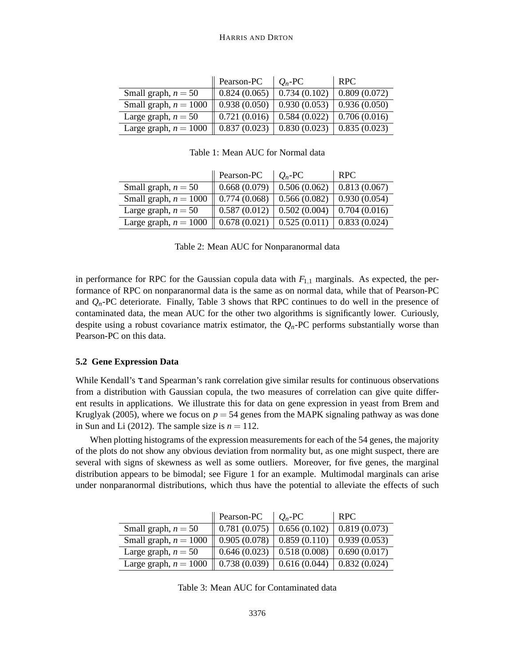|                         | Pearson-PC   | $O_n$ -PC    | RPC.         |
|-------------------------|--------------|--------------|--------------|
| Small graph, $n = 50$   | 0.824(0.065) | 0.734(0.102) | 0.809(0.072) |
| Small graph, $n = 1000$ | 0.938(0.050) | 0.930(0.053) | 0.936(0.050) |
| Large graph, $n = 50$   | 0.721(0.016) | 0.584(0.022) | 0.706(0.016) |
| Large graph, $n = 1000$ | 0.837(0.023) | 0.830(0.023) | 0.835(0.023) |

Table 1: Mean AUC for Normal data

|                         | Pearson-PC   | $O_n$ -PC    | RPC.         |
|-------------------------|--------------|--------------|--------------|
| Small graph, $n = 50$   | 0.668(0.079) | 0.506(0.062) | 0.813(0.067) |
| Small graph, $n = 1000$ | 0.774(0.068) | 0.566(0.082) | 0.930(0.054) |
| Large graph, $n = 50$   | 0.587(0.012) | 0.502(0.004) | 0.704(0.016) |
| Large graph, $n = 1000$ | 0.678(0.021) | 0.525(0.011) | 0.833(0.024) |

Table 2: Mean AUC for Nonparanormal data

in performance for RPC for the Gaussian copula data with  $F_{1,1}$  marginals. As expected, the performance of RPC on nonparanormal data is the same as on normal data, while that of Pearson-PC and  $Q_n$ -PC deteriorate. Finally, Table 3 shows that RPC continues to do well in the presence of contaminated data, the mean AUC for the other two algorithms is significantly lower. Curiously, despite using a robust covariance matrix estimator, the  $Q_n$ -PC performs substantially worse than Pearson-PC on this data.

### **5.2 Gene Expression Data**

While Kendall's τ and Spearman's rank correlation give similar results for continuous observations from a distribution with Gaussian copula, the two measures of correlation can give quite different results in applications. We illustrate this for data on gene expression in yeast from Brem and Kruglyak (2005), where we focus on  $p = 54$  genes from the MAPK signaling pathway as was done in Sun and Li (2012). The sample size is  $n = 112$ .

When plotting histograms of the expression measurements for each of the 54 genes, the majority of the plots do not show any obvious deviation from normality but, as one might suspect, there are several with signs of skewness as well as some outliers. Moreover, for five genes, the marginal distribution appears to be bimodal; see Figure 1 for an example. Multimodal marginals can arise under nonparanormal distributions, which thus have the potential to alleviate the effects of such

|                         | Pearson-PC                | $Q_n$ -PC                                  | <b>RPC</b>   |
|-------------------------|---------------------------|--------------------------------------------|--------------|
| Small graph, $n = 50$   | $\parallel$ 0.781 (0.075) | 0.656(0.102)                               | 0.819(0.073) |
| Small graph, $n = 1000$ | 0.905(0.078)              | 0.859(0.110)                               | 0.939(0.053) |
| Large graph, $n = 50$   | $\parallel$ 0.646 (0.023) | 0.518(0.008)                               | 0.690(0.017) |
| Large graph, $n = 1000$ |                           | $0.738(0.039)$ 0.616 (0.044) 0.832 (0.024) |              |

Table 3: Mean AUC for Contaminated data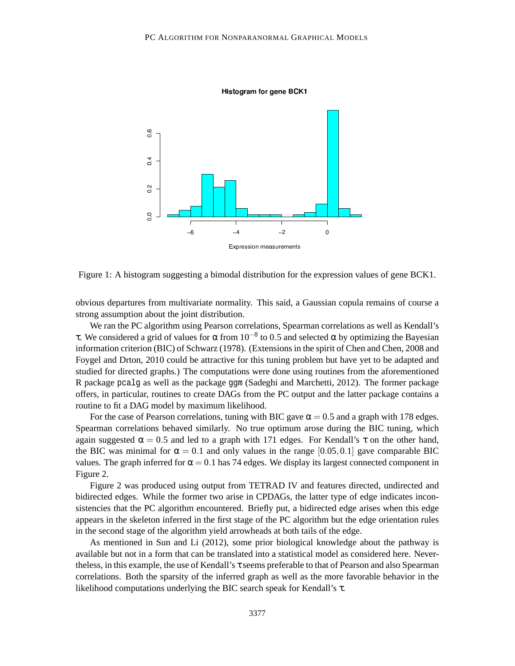

Histogram for gene BCK1

Figure 1: A histogram suggesting a bimodal distribution for the expression values of gene BCK1.

obvious departures from multivariate normality. This said, a Gaussian copula remains of course a strong assumption about the joint distribution.

We ran the PC algorithm using Pearson correlations, Spearman correlations as well as Kendall's τ. We considered a grid of values for  $\alpha$  from 10<sup>-8</sup> to 0.5 and selected  $\alpha$  by optimizing the Bayesian information criterion (BIC) of Schwarz (1978). (Extensions in the spirit of Chen and Chen, 2008 and Foygel and Drton, 2010 could be attractive for this tuning problem but have yet to be adapted and studied for directed graphs.) The computations were done using routines from the aforementioned R package pcalg as well as the package ggm (Sadeghi and Marchetti, 2012). The former package offers, in particular, routines to create DAGs from the PC output and the latter package contains a routine to fit a DAG model by maximum likelihood.

For the case of Pearson correlations, tuning with BIC gave  $\alpha = 0.5$  and a graph with 178 edges. Spearman correlations behaved similarly. No true optimum arose during the BIC tuning, which again suggested  $\alpha = 0.5$  and led to a graph with 171 edges. For Kendall's  $\tau$  on the other hand, the BIC was minimal for  $\alpha = 0.1$  and only values in the range [0.05,0.1] gave comparable BIC values. The graph inferred for  $\alpha = 0.1$  has 74 edges. We display its largest connected component in Figure 2.

Figure 2 was produced using output from TETRAD IV and features directed, undirected and bidirected edges. While the former two arise in CPDAGs, the latter type of edge indicates inconsistencies that the PC algorithm encountered. Briefly put, a bidirected edge arises when this edge appears in the skeleton inferred in the first stage of the PC algorithm but the edge orientation rules in the second stage of the algorithm yield arrowheads at both tails of the edge.

As mentioned in Sun and Li (2012), some prior biological knowledge about the pathway is available but not in a form that can be translated into a statistical model as considered here. Nevertheless, in this example, the use of Kendall's τ seems preferable to that of Pearson and also Spearman correlations. Both the sparsity of the inferred graph as well as the more favorable behavior in the likelihood computations underlying the BIC search speak for Kendall's τ.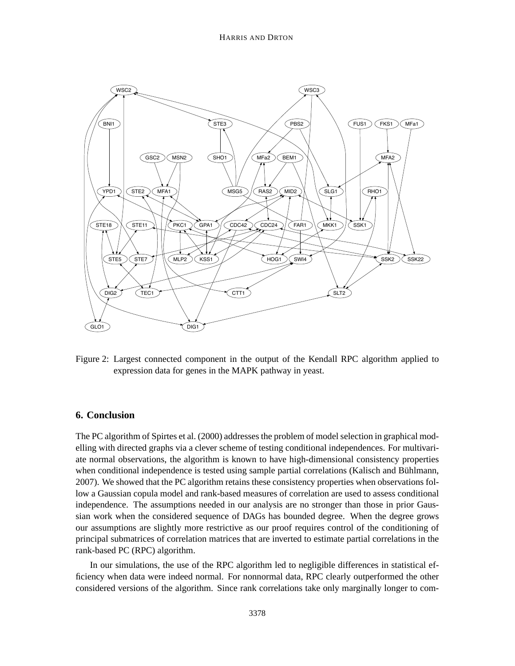

Figure 2: Largest connected component in the output of the Kendall RPC algorithm applied to expression data for genes in the MAPK pathway in yeast.

## **6. Conclusion**

The PC algorithm of Spirtes et al. (2000) addresses the problem of modelselection in graphical modelling with directed graphs via a clever scheme of testing conditional independences. For multivariate normal observations, the algorithm is known to have high-dimensional consistency properties when conditional independence is tested using sample partial correlations (Kalisch and Bühlmann, 2007). We showed that the PC algorithm retains these consistency properties when observations follow a Gaussian copula model and rank-based measures of correlation are used to assess conditional independence. The assumptions needed in our analysis are no stronger than those in prior Gaussian work when the considered sequence of DAGs has bounded degree. When the degree grows our assumptions are slightly more restrictive as our proof requires control of the conditioning of principal submatrices of correlation matrices that are inverted to estimate partial correlations in the rank-based PC (RPC) algorithm.

In our simulations, the use of the RPC algorithm led to negligible differences in statistical efficiency when data were indeed normal. For nonnormal data, RPC clearly outperformed the other considered versions of the algorithm. Since rank correlations take only marginally longer to com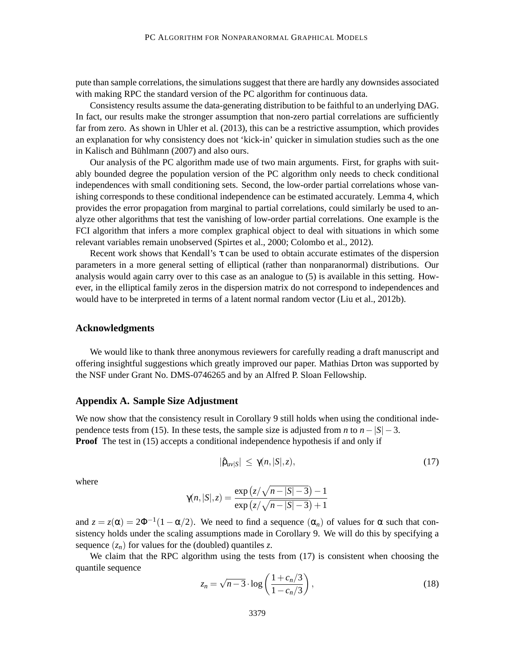pute than sample correlations, the simulations suggest that there are hardly any downsides associated with making RPC the standard version of the PC algorithm for continuous data.

Consistency results assume the data-generating distribution to be faithful to an underlying DAG. In fact, our results make the stronger assumption that non-zero partial correlations are sufficiently far from zero. As shown in Uhler et al. (2013), this can be a restrictive assumption, which provides an explanation for why consistency does not 'kick-in' quicker in simulation studies such as the one in Kalisch and Bühlmann (2007) and also ours.

Our analysis of the PC algorithm made use of two main arguments. First, for graphs with suitably bounded degree the population version of the PC algorithm only needs to check conditional independences with small conditioning sets. Second, the low-order partial correlations whose vanishing corresponds to these conditional independence can be estimated accurately. Lemma 4, which provides the error propagation from marginal to partial correlations, could similarly be used to analyze other algorithms that test the vanishing of low-order partial correlations. One example is the FCI algorithm that infers a more complex graphical object to deal with situations in which some relevant variables remain unobserved (Spirtes et al., 2000; Colombo et al., 2012).

Recent work shows that Kendall's  $\tau$  can be used to obtain accurate estimates of the dispersion parameters in a more general setting of elliptical (rather than nonparanormal) distributions. Our analysis would again carry over to this case as an analogue to (5) is available in this setting. However, in the elliptical family zeros in the dispersion matrix do not correspond to independences and would have to be interpreted in terms of a latent normal random vector (Liu et al., 2012b).

#### **Acknowledgments**

We would like to thank three anonymous reviewers for carefully reading a draft manuscript and offering insightful suggestions which greatly improved our paper. Mathias Drton was supported by the NSF under Grant No. DMS-0746265 and by an Alfred P. Sloan Fellowship.

#### **Appendix A. Sample Size Adjustment**

We now show that the consistency result in Corollary 9 still holds when using the conditional independence tests from (15). In these tests, the sample size is adjusted from *n* to  $n - |S| - 3$ . **Proof** The test in (15) accepts a conditional independence hypothesis if and only if

$$
|\hat{\rho}_{uv|S}| \le \gamma(n,|S|,z), \tag{17}
$$

where

$$
\gamma(n,|S|,z) = \frac{\exp(z/\sqrt{n-|S|-3}) - 1}{\exp(z/\sqrt{n-|S|-3}) + 1}
$$

and  $z = z(\alpha) = 2\Phi^{-1}(1 - \alpha/2)$ . We need to find a sequence  $(\alpha_n)$  of values for  $\alpha$  such that consistency holds under the scaling assumptions made in Corollary 9. We will do this by specifying a sequence  $(z_n)$  for values for the (doubled) quantiles *z*.

We claim that the RPC algorithm using the tests from  $(17)$  is consistent when choosing the quantile sequence

$$
z_n = \sqrt{n-3} \cdot \log\left(\frac{1+c_n/3}{1-c_n/3}\right),\tag{18}
$$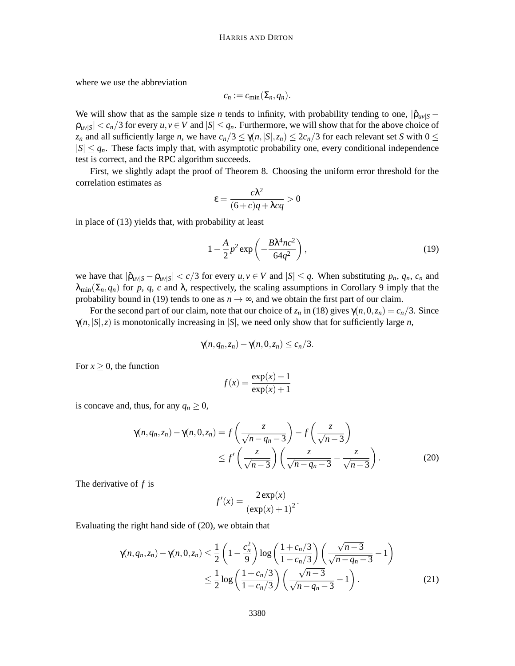where we use the abbreviation

$$
c_n := c_{\min}(\Sigma_n, q_n).
$$

We will show that as the sample size *n* tends to infinity, with probability tending to one,  $|\hat{\rho}_{uv}|_S$  −  $|\rho_{uv|S}| < c_n/3$  for every  $u, v \in V$  and  $|S| \le q_n$ . Furthermore, we will show that for the above choice of *z<sub>n</sub>* and all sufficiently large *n*, we have  $c_n/3 \leq \gamma(n, |S|, z_n) \leq 2c_n/3$  for each relevant set *S* with  $0 \leq$  $|S| \le q_n$ . These facts imply that, with asymptotic probability one, every conditional independence test is correct, and the RPC algorithm succeeds.

First, we slightly adapt the proof of Theorem 8. Choosing the uniform error threshold for the correlation estimates as

$$
\varepsilon = \frac{c\lambda^2}{(6+c)q + \lambda cq} > 0
$$

in place of (13) yields that, with probability at least

$$
1 - \frac{A}{2}p^2 \exp\left(-\frac{B\lambda^4 n c^2}{64q^2}\right),\tag{19}
$$

we have that  $|\hat{\rho}_{uv|S} - \rho_{uv|S}| < c/3$  for every  $u, v \in V$  and  $|S| \leq q$ . When substituting  $p_n, q_n, c_n$  and  $\lambda_{\min}(\Sigma_n, q_n)$  for *p*, *q*, *c* and  $\lambda$ , respectively, the scaling assumptions in Corollary 9 imply that the probability bound in (19) tends to one as  $n \rightarrow \infty$ , and we obtain the first part of our claim.

For the second part of our claim, note that our choice of  $z_n$  in (18) gives  $\gamma(n,0,z_n) = c_n/3$ . Since  $\gamma(n,|S|,z)$  is monotonically increasing in  $|S|$ , we need only show that for sufficiently large *n*,

$$
\gamma(n,q_n,z_n)-\gamma(n,0,z_n)\leq c_n/3.
$$

For  $x > 0$ , the function

$$
f(x) = \frac{\exp(x) - 1}{\exp(x) + 1}
$$

is concave and, thus, for any  $q_n \geq 0$ ,

$$
\gamma(n, q_n, z_n) - \gamma(n, 0, z_n) = f\left(\frac{z}{\sqrt{n - q_n - 3}}\right) - f\left(\frac{z}{\sqrt{n - 3}}\right)
$$
  
 
$$
\leq f'\left(\frac{z}{\sqrt{n - 3}}\right)\left(\frac{z}{\sqrt{n - q_n - 3}} - \frac{z}{\sqrt{n - 3}}\right).
$$
 (20)

The derivative of *f* is

$$
f'(x) = \frac{2 \exp(x)}{(\exp(x) + 1)^2}.
$$

Evaluating the right hand side of (20), we obtain that

$$
\gamma(n, q_n, z_n) - \gamma(n, 0, z_n) \le \frac{1}{2} \left( 1 - \frac{c_n^2}{9} \right) \log \left( \frac{1 + c_n/3}{1 - c_n/3} \right) \left( \frac{\sqrt{n - 3}}{\sqrt{n - q_n - 3}} - 1 \right)
$$
  

$$
\le \frac{1}{2} \log \left( \frac{1 + c_n/3}{1 - c_n/3} \right) \left( \frac{\sqrt{n - 3}}{\sqrt{n - q_n - 3}} - 1 \right).
$$
 (21)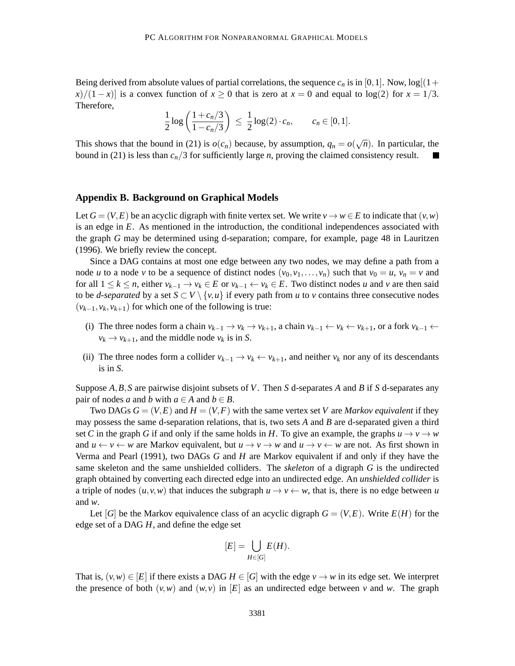Being derived from absolute values of partial correlations, the sequence  $c_n$  is in [0,1]. Now,  $\log[(1+\frac{1}{2}a_n)^2]$  $\frac{x}{1-x}$  is a convex function of  $x \ge 0$  that is zero at  $x = 0$  and equal to log(2) for  $x = 1/3$ . Therefore,

$$
\frac{1}{2}\log\left(\frac{1+c_n/3}{1-c_n/3}\right) \leq \frac{1}{2}\log(2)\cdot c_n, \qquad c_n \in [0,1].
$$

This shows that the bound in (21) is  $o(c_n)$  because, by assumption,  $q_n = o(\sqrt{n})$ . In particular, the bound in (21) is less than  $c_n/3$  for sufficiently large *n*, proving the claimed consistency result.

#### **Appendix B. Background on Graphical Models**

Let  $G = (V, E)$  be an acyclic digraph with finite vertex set. We write  $v \to w \in E$  to indicate that  $(v, w)$ is an edge in *E*. As mentioned in the introduction, the conditional independences associated with the graph *G* may be determined using d-separation; compare, for example, page 48 in Lauritzen (1996). We briefly review the concept.

Since a DAG contains at most one edge between any two nodes, we may define a path from a node *u* to a node *v* to be a sequence of distinct nodes  $(v_0, v_1, \ldots, v_n)$  such that  $v_0 = u$ ,  $v_n = v$  and for all  $1 \leq k \leq n$ , either  $v_{k-1} \to v_k \in E$  or  $v_{k-1} \leftarrow v_k \in E$ . Two distinct nodes *u* and *v* are then said to be *d-separated* by a set  $S \subset V \setminus \{v, u\}$  if every path from *u* to *v* contains three consecutive nodes  $(v_{k-1}, v_k, v_{k+1})$  for which one of the following is true:

- (i) The three nodes form a chain  $v_{k-1} \to v_k \to v_{k+1}$ , a chain  $v_{k-1} \gets v_k \gets v_{k+1}$ , or a fork  $v_{k-1} \gets v_k$  $v_k \rightarrow v_{k+1}$ , and the middle node  $v_k$  is in *S*.
- (ii) The three nodes form a collider  $v_{k-1} \to v_k \leftarrow v_{k+1}$ , and neither  $v_k$  nor any of its descendants is in *S*.

Suppose *A*,*B*,*S* are pairwise disjoint subsets of *V*. Then *S* d-separates *A* and *B* if *S* d-separates any pair of nodes *a* and *b* with  $a \in A$  and  $b \in B$ .

Two DAGs  $G = (V, E)$  and  $H = (V, F)$  with the same vertex set V are *Markov equivalent* if they may possess the same d-separation relations, that is, two sets *A* and *B* are d-separated given a third set C in the graph G if and only if the same holds in H. To give an example, the graphs  $u \to v \to w$ and  $u \leftarrow v \leftarrow w$  are Markov equivalent, but  $u \rightarrow v \rightarrow w$  and  $u \rightarrow v \leftarrow w$  are not. As first shown in Verma and Pearl (1991), two DAGs *G* and *H* are Markov equivalent if and only if they have the same skeleton and the same unshielded colliders. The *skeleton* of a digraph *G* is the undirected graph obtained by converting each directed edge into an undirected edge. An *unshielded collider* is a triple of nodes  $(u, v, w)$  that induces the subgraph  $u \to v \leftarrow w$ , that is, there is no edge between *u* and *w*.

Let [*G*] be the Markov equivalence class of an acyclic digraph  $G = (V, E)$ . Write  $E(H)$  for the edge set of a DAG *H*, and define the edge set

$$
[E] = \bigcup_{H \in [G]} E(H).
$$

That is,  $(v, w) \in [E]$  if there exists a DAG  $H \in [G]$  with the edge  $v \to w$  in its edge set. We interpret the presence of both  $(v, w)$  and  $(w, v)$  in  $[E]$  as an undirected edge between *v* and *w*. The graph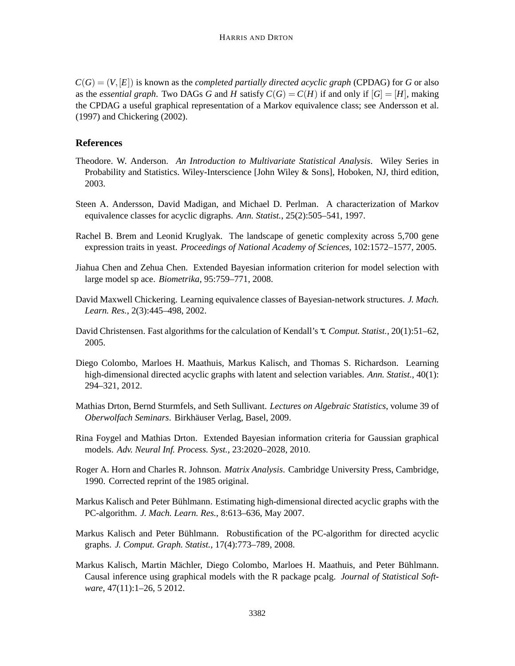$C(G) = (V, [E])$  is known as the *completed partially directed acyclic graph* (CPDAG) for *G* or also as the *essential graph*. Two DAGs *G* and *H* satisfy  $C(G) = C(H)$  if and only if  $[G] = [H]$ , making the CPDAG a useful graphical representation of a Markov equivalence class; see Andersson et al. (1997) and Chickering (2002).

## **References**

- Theodore. W. Anderson. *An Introduction to Multivariate Statistical Analysis*. Wiley Series in Probability and Statistics. Wiley-Interscience [John Wiley & Sons], Hoboken, NJ, third edition, 2003.
- Steen A. Andersson, David Madigan, and Michael D. Perlman. A characterization of Markov equivalence classes for acyclic digraphs. *Ann. Statist.*, 25(2):505–541, 1997.
- Rachel B. Brem and Leonid Kruglyak. The landscape of genetic complexity across 5,700 gene expression traits in yeast. *Proceedings of National Academy of Sciences*, 102:1572–1577, 2005.
- Jiahua Chen and Zehua Chen. Extended Bayesian information criterion for model selection with large model sp ace. *Biometrika*, 95:759–771, 2008.
- David Maxwell Chickering. Learning equivalence classes of Bayesian-network structures. *J. Mach. Learn. Res.*, 2(3):445–498, 2002.
- David Christensen. Fast algorithms for the calculation of Kendall's τ. *Comput. Statist.*, 20(1):51–62, 2005.
- Diego Colombo, Marloes H. Maathuis, Markus Kalisch, and Thomas S. Richardson. Learning high-dimensional directed acyclic graphs with latent and selection variables. *Ann. Statist.*, 40(1): 294–321, 2012.
- Mathias Drton, Bernd Sturmfels, and Seth Sullivant. *Lectures on Algebraic Statistics*, volume 39 of *Oberwolfach Seminars*. Birkhauser Verlag, Basel, 2009. ¨
- Rina Foygel and Mathias Drton. Extended Bayesian information criteria for Gaussian graphical models. *Adv. Neural Inf. Process. Syst.*, 23:2020–2028, 2010.
- Roger A. Horn and Charles R. Johnson. *Matrix Analysis*. Cambridge University Press, Cambridge, 1990. Corrected reprint of the 1985 original.
- Markus Kalisch and Peter Buhlmann. Estimating high-dimensional directed acyclic graphs with the ¨ PC-algorithm. *J. Mach. Learn. Res.*, 8:613–636, May 2007.
- Markus Kalisch and Peter Bühlmann. Robustification of the PC-algorithm for directed acyclic graphs. *J. Comput. Graph. Statist.*, 17(4):773–789, 2008.
- Markus Kalisch, Martin Mächler, Diego Colombo, Marloes H. Maathuis, and Peter Bühlmann. Causal inference using graphical models with the R package pcalg. *Journal of Statistical Software*, 47(11):1–26, 5 2012.